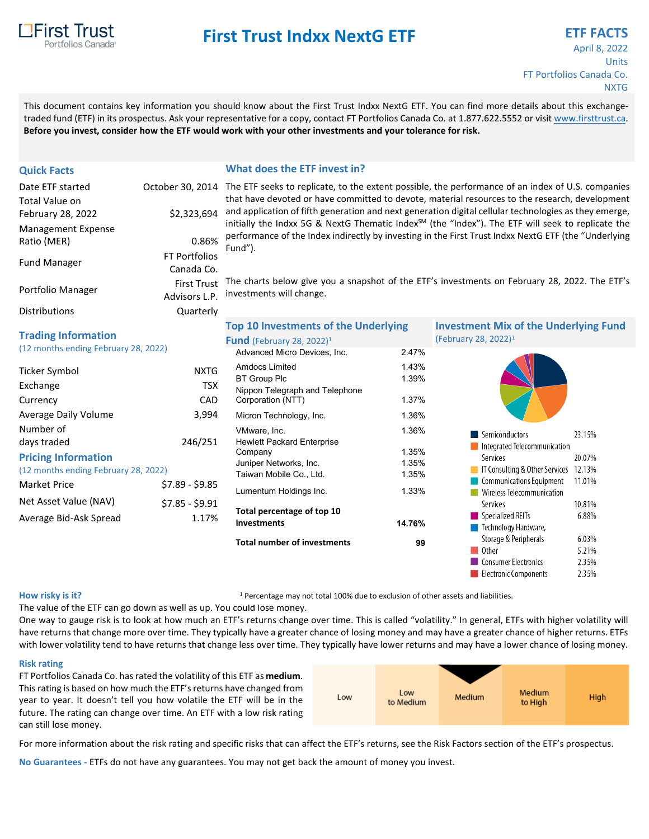

# **First Trust Indxx NextG ETF EXECUTE:** ETF FACTS

## April 8, 2022 Units FT Portfolios Canada Co. **NXTG**

This document contains key information you should know about the First Trust Indxx NextG ETF. You can find more details about this exchangetraded fund (ETF) in its prospectus. Ask your representative for a copy, contact FT Portfolios Canada Co. at 1.877.622.5552 or visit [www.firsttrust.ca.](http://www.firsttrust.ca/) **Before you invest, consider how the ETF would work with your other investments and your tolerance for risk.**

### Total Value on February 28, 2022 \$2,323,694 Management Expense Ratio (MER) 8.86% Fund Manager FT Portfolios Canada Co. Portfolio Manager First Trust Advisors L.P. Distributions Quarterly

#### **Quick Facts What does the ETF invest in?**

Date ETF started Coctober 30, 2014 The ETF seeks to replicate, to the extent possible, the performance of an index of U.S. companies that have devoted or have committed to devote, material resources to the research, development and application of fifth generation and next generation digital cellular technologies as they emerge, initially the Indxx 5G & NextG Thematic Index<sup>SM</sup> (the "Index"). The ETF will seek to replicate the performance of the Index indirectly by investing in the First Trust Indxx NextG ETF (the "Underlying Fund").

> The charts below give you a snapshot of the ETF's investments on February 28, 2022. The ETF's investments will change.

|  | <b>Trading Information</b> |
|--|----------------------------|
|--|----------------------------|

(12 months ending February 28, 2022)

| Ticker Symbol                        | NXTG            |
|--------------------------------------|-----------------|
| Exchange                             | <b>TSX</b>      |
| Currency                             | CAD             |
| Average Daily Volume                 | 3.994           |
| Number of                            |                 |
| days traded                          | 246/251         |
| <b>Pricing Information</b>           |                 |
| (12 months ending February 28, 2022) |                 |
| Market Price                         | \$7.89 - \$9.85 |
| Net Asset Value (NAV)                | \$7.85 - \$9.91 |
| Average Bid-Ask Spread               | 1.17%           |
|                                      |                 |

| <b>Total number of investments</b>                  | 99     |
|-----------------------------------------------------|--------|
| Total percentage of top 10<br>investments           | 14.76% |
| Lumentum Holdings Inc.                              | 1.33%  |
| Taiwan Mobile Co., Ltd.                             | 1.35%  |
| Juniper Networks, Inc.                              | 1.35%  |
| <b>Hewlett Packard Enterprise</b><br>Company        | 1.35%  |
| VMware, Inc.                                        | 1.36%  |
| Micron Technology, Inc.                             | 1.36%  |
| Nippon Telegraph and Telephone<br>Corporation (NTT) | 1.37%  |
| <b>BT Group Plc</b>                                 | 1.39%  |
| <b>Amdocs Limited</b>                               | 1.43%  |
| Advanced Micro Devices, Inc.                        | 247%   |
| <b>Fund</b> (February 28, 2022) <sup>1</sup>        |        |
| <b>Top 10 Investments of the Underlying</b>         |        |

**Investment Mix of the Underlying Fund** (February 28, 2022)1



#### **How risky is it?**

<sup>1</sup> Percentage may not total 100% due to exclusion of other assets and liabilities.

The value of the ETF can go down as well as up. You could lose money.

One way to gauge risk is to look at how much an ETF's returns change over time. This is called "volatility." In general, ETFs with higher volatility will have returns that change more over time. They typically have a greater chance of losing money and may have a greater chance of higher returns. ETFs with lower volatility tend to have returns that change less over time. They typically have lower returns and may have a lower chance of losing money.

#### **Risk rating**

FT Portfolios Canada Co. has rated the volatility of this ETF as **medium**. This rating is based on how much the ETF's returns have changed from year to year. It doesn't tell you how volatile the ETF will be in the future. The rating can change over time. An ETF with a low risk rating can still lose money.



For more information about the risk rating and specific risks that can affect the ETF's returns, see the Risk Factors section of the ETF's prospectus.

**No Guarantees -** ETFs do not have any guarantees. You may not get back the amount of money you invest.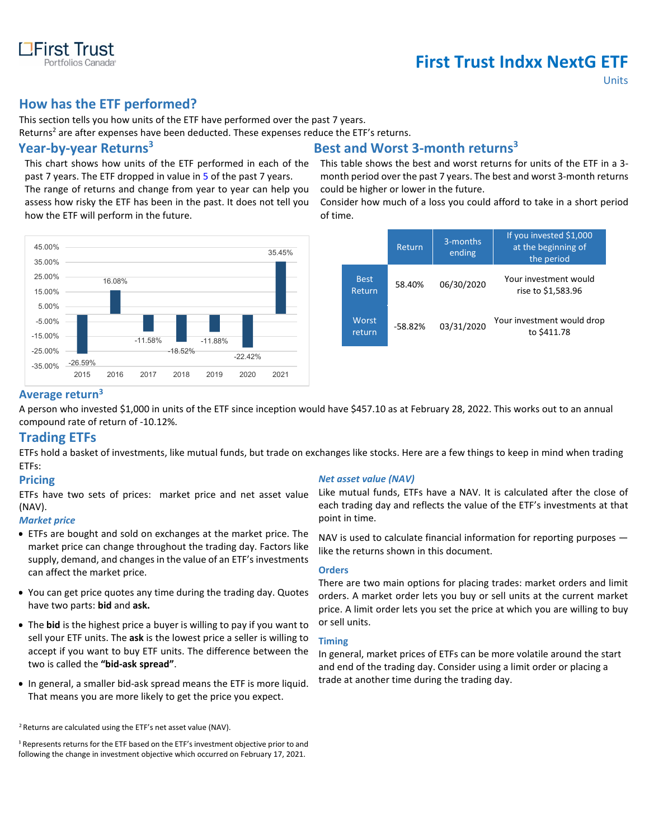

# **First Trust Indxx NextG ETF**

Units

## **How has the ETF performed?**

This section tells you how units of the ETF have performed over the past 7 years.

Returns<sup>2</sup> are after expenses have been deducted. These expenses reduce the ETF's returns.

This chart shows how units of the ETF performed in each of the past 7 years. The ETF dropped in value in 5 of the past 7 years.

The range of returns and change from year to year can help you assess how risky the ETF has been in the past. It does not tell you how the ETF will perform in the future.



# **Year-by-year Returns3 Best and Worst 3-month returns3**

This table shows the best and worst returns for units of the ETF in a 3 month period over the past 7 years. The best and worst 3-month returns could be higher or lower in the future.

Consider how much of a loss you could afford to take in a short period of time.

|                       | Return    | 3-months<br>ending | If you invested \$1,000<br>at the beginning of<br>the period |
|-----------------------|-----------|--------------------|--------------------------------------------------------------|
| <b>Best</b><br>Return | 58.40%    | 06/30/2020         | Your investment would<br>rise to \$1,583.96                  |
| Worst<br>return       | $-58.82%$ | 03/31/2020         | "Your investment would drop"<br>to \$411.78                  |

### **Average return3**

A person who invested \$1,000 in units of the ETF since inception would have \$457.10 as at February 28, 2022. This works out to an annual compound rate of return of -10.12%.

### **Trading ETFs**

ETFs hold a basket of investments, like mutual funds, but trade on exchanges like stocks. Here are a few things to keep in mind when trading ETFs:

### **Pricing**

ETFs have two sets of prices: market price and net asset value (NAV).

#### *Market price*

- ETFs are bought and sold on exchanges at the market price. The market price can change throughout the trading day. Factors like supply, demand, and changes in the value of an ETF's investments can affect the market price.
- You can get price quotes any time during the trading day. Quotes have two parts: **bid** and **ask.**
- The **bid** is the highest price a buyer is willing to pay if you want to sell your ETF units. The **ask** is the lowest price a seller is willing to accept if you want to buy ETF units. The difference between the two is called the **"bid-ask spread"**.
- In general, a smaller bid-ask spread means the ETF is more liquid. That means you are more likely to get the price you expect.

<sup>2</sup> Returns are calculated using the ETF's net asset value (NAV).

#### *Net asset value (NAV)*

Like mutual funds, ETFs have a NAV. It is calculated after the close of each trading day and reflects the value of the ETF's investments at that point in time.

NAV is used to calculate financial information for reporting purposes like the returns shown in this document.

#### **Orders**

There are two main options for placing trades: market orders and limit orders. A market order lets you buy or sell units at the current market price. A limit order lets you set the price at which you are willing to buy or sell units.

#### **Timing**

In general, market prices of ETFs can be more volatile around the start and end of the trading day. Consider using a limit order or placing a trade at another time during the trading day.

<sup>&</sup>lt;sup>3</sup> Represents returns for the ETF based on the ETF's investment objective prior to and following the change in investment objective which occurred on February 17, 2021.